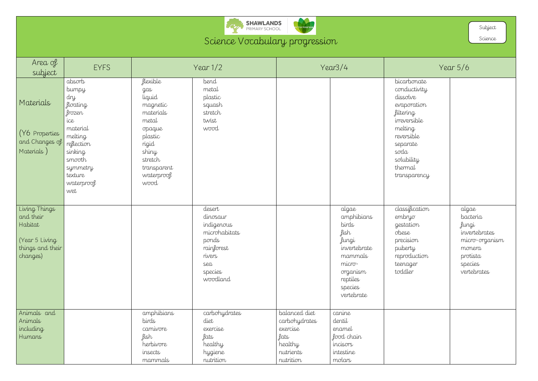

## Science Vocabulary progression

| Area of<br>subject                                                                     | <b>EYFS</b>                                                                                                                                               |                                                                                                                                                    | Year $1/2$                                                                                                       |                                                                                         | Year3/4                                                                                                                             |                                                                                                                                                                           | Year $5/6$                                                           |
|----------------------------------------------------------------------------------------|-----------------------------------------------------------------------------------------------------------------------------------------------------------|----------------------------------------------------------------------------------------------------------------------------------------------------|------------------------------------------------------------------------------------------------------------------|-----------------------------------------------------------------------------------------|-------------------------------------------------------------------------------------------------------------------------------------|---------------------------------------------------------------------------------------------------------------------------------------------------------------------------|----------------------------------------------------------------------|
| Materials<br>(Y6 Properties<br>and Changes of<br>Materials)                            | absorb<br>bumpy<br>dry<br>floating<br>frozen<br>ice<br>material<br>melting<br>reflection<br>sinking<br>smooth<br>symmetry<br>texture<br>waterproof<br>wet | flexible<br>gas<br>liquid<br>magnetic<br>materials<br>metal<br>opaque<br>plastic<br>rigid<br>shiny<br>stretch<br>transparent<br>waterproof<br>wood | bend<br>metal<br>plastic<br>squash<br>stretch<br>twist<br>wood                                                   |                                                                                         |                                                                                                                                     | bicarbonate<br>conductivity<br>dissolve<br>evaporation<br>filtering<br>irreversible<br>melting<br>reversible<br>separate<br>soda<br>solubility<br>thermal<br>transparency |                                                                      |
| Living Things<br>and their<br>Habitat<br>Year 5 Living<br>things and their<br>changes) |                                                                                                                                                           |                                                                                                                                                    | desert<br>dinosaur<br>indigenous<br>microhabitats<br>ponds<br>rainforest<br>rivers<br>sea<br>species<br>woodland |                                                                                         | algae<br>amphibians<br>birds<br>fish<br>fungi<br>invertebrate<br>mammals<br>micro-<br>organism<br>reptiles<br>species<br>vertebrate | classification<br>embryo<br>gestation<br>obese<br>precision<br>puberty<br>reproduction<br>teenager<br>toddler                                                             | alg<br>ba<br>fun<br>inw<br>mi<br>mc<br>prc<br>sp <sub>e</sub><br>ver |
| Animals and<br>Animals<br>including<br>Humans                                          |                                                                                                                                                           | amphibians<br>birds<br>carnivore<br>fish<br>herbivore<br>insects<br>mammals                                                                        | carbohydrates<br>diet<br>exercise<br>fats<br>healthy<br>hygiene<br>nutrition                                     | balanced diet<br>carbohydrates<br>exercise<br>fats<br>healthy<br>nutrients<br>nutrition | canine<br>dentil<br>enamel<br>food chain<br>incisors<br>intestine<br>molars                                                         |                                                                                                                                                                           |                                                                      |

|                                                                                                                                                                           | Subject<br>Science                                                                                            |
|---------------------------------------------------------------------------------------------------------------------------------------------------------------------------|---------------------------------------------------------------------------------------------------------------|
|                                                                                                                                                                           | Year 5/6                                                                                                      |
| bicarbonate<br>conductivity<br>dissolve<br>evaporation<br>filtering<br>irreversible<br>melting<br>reversible<br>separate<br>soda<br>solubility<br>thermal<br>transparency |                                                                                                               |
| classification<br>embryo<br>gestation<br>obese<br>precision<br>puberty<br>reproduction<br>teenager<br>toddler                                                             | algae<br>bacteria<br>fungi<br>invertebrates<br>micro-organism<br>monera<br>protista<br>species<br>vertebrates |
|                                                                                                                                                                           |                                                                                                               |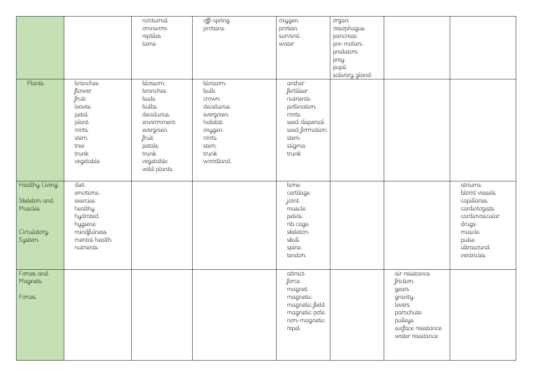|                                                                    |                                                                                                             | nocturnal<br>omnivore<br>reptiles<br>tame                                                                                             | off-spring<br>proteins                                                                                        | oxygen<br>protein<br>survival<br>water                                                                                   | organ<br>oesophagus<br>pancreas<br>pre-molars<br>predators<br>prey<br>pupil<br>salivary gland |                                                                                                                            |                                                                                                                                    |
|--------------------------------------------------------------------|-------------------------------------------------------------------------------------------------------------|---------------------------------------------------------------------------------------------------------------------------------------|---------------------------------------------------------------------------------------------------------------|--------------------------------------------------------------------------------------------------------------------------|-----------------------------------------------------------------------------------------------|----------------------------------------------------------------------------------------------------------------------------|------------------------------------------------------------------------------------------------------------------------------------|
| Plants                                                             | branches<br>flower<br>fruit<br>leaves<br>petal<br>plant<br>roots<br>stem<br>tree<br>trunk<br>vegetable      | blossom<br>branches<br>buds<br>bulbs<br>deciduous<br>environment<br>evergreen<br>fruit<br>petals<br>trunk<br>vegetable<br>wild plants | blossom<br>bulb<br>crown<br>deciduous<br>evergreen<br>habitat<br>oxygen<br>roots<br>stem<br>trunk<br>woodland | anther<br>fertiliser<br>nutrients<br>pollination<br>roots<br>seed dispersal<br>seed formation<br>stem<br>stigma<br>trunk |                                                                                               |                                                                                                                            |                                                                                                                                    |
| Healthy Living<br>Skeleton and<br>Muscles<br>Circulatory<br>System | diet<br>emotions<br>exercise<br>healthy<br>hydrated<br>hygiene<br>mindfulness<br>mental health<br>nutrients |                                                                                                                                       |                                                                                                               | bone<br>cartilage<br>joint<br>muscle<br>pelvis<br>rib cage<br>skeleton<br>skull<br>spine<br>tendon                       |                                                                                               |                                                                                                                            | atriums<br>blood vessels<br>capillaries<br>cardiologists<br>cardiovascular<br>drugs<br>muscle<br>pulse<br>ultrasound<br>ventricles |
| Forces and<br>Magnets<br>Forces                                    |                                                                                                             |                                                                                                                                       |                                                                                                               | attract<br>force<br>magnet<br>magnetic<br>magnetic field<br>magnetic pole<br>non-magnetic<br>repel                       |                                                                                               | air resistance<br>friction<br>gears<br>gravity<br>levers<br>parachute<br>pulleys<br>surface resistance<br>water resistance |                                                                                                                                    |